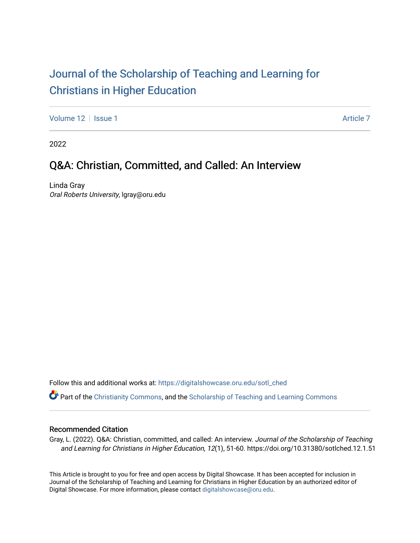# [Journal of the Scholarship of Teaching and Learning for](https://digitalshowcase.oru.edu/sotl_ched)  [Christians in Higher Education](https://digitalshowcase.oru.edu/sotl_ched)

[Volume 12](https://digitalshowcase.oru.edu/sotl_ched/vol12) Setup 1 [Article 7](https://digitalshowcase.oru.edu/sotl_ched/vol12/iss1/7) Article 7 Article 7 Article 7 Article 7 Article 7

2022

### Q&A: Christian, Committed, and Called: An Interview

Linda Gray Oral Roberts University, lgray@oru.edu

Follow this and additional works at: [https://digitalshowcase.oru.edu/sotl\\_ched](https://digitalshowcase.oru.edu/sotl_ched?utm_source=digitalshowcase.oru.edu%2Fsotl_ched%2Fvol12%2Fiss1%2F7&utm_medium=PDF&utm_campaign=PDFCoverPages) 

 $\bullet$  Part of the [Christianity Commons,](https://network.bepress.com/hgg/discipline/1181?utm_source=digitalshowcase.oru.edu%2Fsotl_ched%2Fvol12%2Fiss1%2F7&utm_medium=PDF&utm_campaign=PDFCoverPages) and the Scholarship of Teaching and Learning Commons

#### Recommended Citation

Gray, L. (2022). Q&A: Christian, committed, and called: An interview. Journal of the Scholarship of Teaching and Learning for Christians in Higher Education, 12(1), 51-60. https://doi.org/10.31380/sotlched.12.1.51

This Article is brought to you for free and open access by Digital Showcase. It has been accepted for inclusion in Journal of the Scholarship of Teaching and Learning for Christians in Higher Education by an authorized editor of Digital Showcase. For more information, please contact [digitalshowcase@oru.edu.](mailto:digitalshowcase@oru.edu)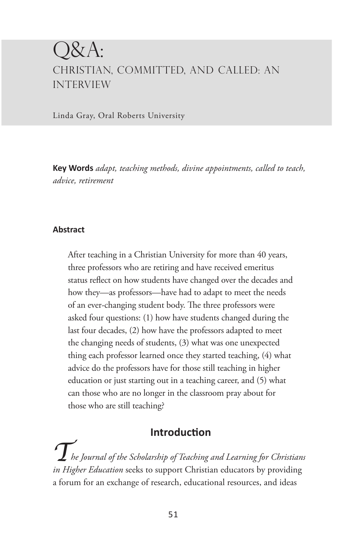## $\mathsf{X} \mathsf{A}$ : CHRISTIAN, COMMITTED, AND CALLED: AN INTERVIEW

Linda Gray, Oral Roberts University

**Key Words** *adapt, teaching methods, divine appointments, called to teach, advice, retirement*

#### **Abstract**

After teaching in a Christian University for more than 40 years, three professors who are retiring and have received emeritus status reflect on how students have changed over the decades and how they—as professors—have had to adapt to meet the needs of an ever-changing student body. The three professors were asked four questions: (1) how have students changed during the last four decades, (2) how have the professors adapted to meet the changing needs of students, (3) what was one unexpected thing each professor learned once they started teaching, (4) what advice do the professors have for those still teaching in higher education or just starting out in a teaching career, and (5) what can those who are no longer in the classroom pray about for those who are still teaching?

### **Introduction**

*The Journal of the Scholarship of Teaching and Learning for Christians in Higher Education* seeks to support Christian educators by providing a forum for an exchange of research, educational resources, and ideas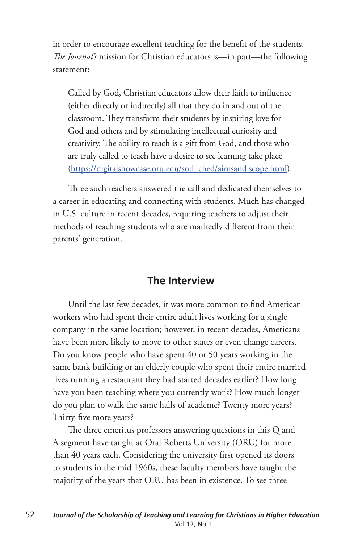in order to encourage excellent teaching for the benefit of the students. *The Journal's* mission for Christian educators is—in part—the following statement:

Called by God, Christian educators allow their faith to influence (either directly or indirectly) all that they do in and out of the classroom. They transform their students by inspiring love for God and others and by stimulating intellectual curiosity and creativity. The ability to teach is a gift from God, and those who are truly called to teach have a desire to see learning take place (https://digitalshowcase.oru.edu/sotl\_ched/aimsand scope.html).

Three such teachers answered the call and dedicated themselves to a career in educating and connecting with students. Much has changed in U.S. culture in recent decades, requiring teachers to adjust their methods of reaching students who are markedly different from their parents' generation.

### **The Interview**

Until the last few decades, it was more common to find American workers who had spent their entire adult lives working for a single company in the same location; however, in recent decades, Americans have been more likely to move to other states or even change careers. Do you know people who have spent 40 or 50 years working in the same bank building or an elderly couple who spent their entire married lives running a restaurant they had started decades earlier? How long have you been teaching where you currently work? How much longer do you plan to walk the same halls of academe? Twenty more years? Thirty-five more years?

The three emeritus professors answering questions in this Q and A segment have taught at Oral Roberts University (ORU) for more than 40 years each. Considering the university first opened its doors to students in the mid 1960s, these faculty members have taught the majority of the years that ORU has been in existence. To see three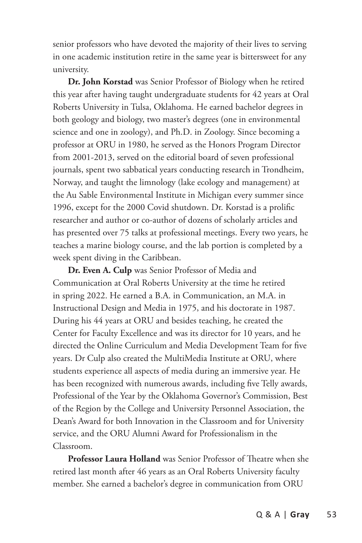senior professors who have devoted the majority of their lives to serving in one academic institution retire in the same year is bittersweet for any university.

**Dr. John Korstad** was Senior Professor of Biology when he retired this year after having taught undergraduate students for 42 years at Oral Roberts University in Tulsa, Oklahoma. He earned bachelor degrees in both geology and biology, two master's degrees (one in environmental science and one in zoology), and Ph.D. in Zoology. Since becoming a professor at ORU in 1980, he served as the Honors Program Director from 2001-2013, served on the editorial board of seven professional journals, spent two sabbatical years conducting research in Trondheim, Norway, and taught the limnology (lake ecology and management) at the Au Sable Environmental Institute in Michigan every summer since 1996, except for the 2000 Covid shutdown. Dr. Korstad is a prolific researcher and author or co-author of dozens of scholarly articles and has presented over 75 talks at professional meetings. Every two years, he teaches a marine biology course, and the lab portion is completed by a week spent diving in the Caribbean.

**Dr. Even A. Culp** was Senior Professor of Media and Communication at Oral Roberts University at the time he retired in spring 2022. He earned a B.A. in Communication, an M.A. in Instructional Design and Media in 1975, and his doctorate in 1987. During his 44 years at ORU and besides teaching, he created the Center for Faculty Excellence and was its director for 10 years, and he directed the Online Curriculum and Media Development Team for five years. Dr Culp also created the MultiMedia Institute at ORU, where students experience all aspects of media during an immersive year. He has been recognized with numerous awards, including five Telly awards, Professional of the Year by the Oklahoma Governor's Commission, Best of the Region by the College and University Personnel Association, the Dean's Award for both Innovation in the Classroom and for University service, and the ORU Alumni Award for Professionalism in the Classroom.

**Professor Laura Holland** was Senior Professor of Theatre when she retired last month after 46 years as an Oral Roberts University faculty member. She earned a bachelor's degree in communication from ORU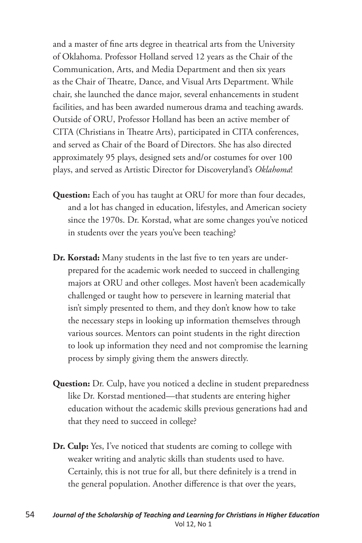and a master of fine arts degree in theatrical arts from the University of Oklahoma. Professor Holland served 12 years as the Chair of the Communication, Arts, and Media Department and then six years as the Chair of Theatre, Dance, and Visual Arts Department. While chair, she launched the dance major, several enhancements in student facilities, and has been awarded numerous drama and teaching awards. Outside of ORU, Professor Holland has been an active member of CITA (Christians in Theatre Arts), participated in CITA conferences, and served as Chair of the Board of Directors. She has also directed approximately 95 plays, designed sets and/or costumes for over 100 plays, and served as Artistic Director for Discoveryland's *Oklahoma*!

- **Question:** Each of you has taught at ORU for more than four decades, and a lot has changed in education, lifestyles, and American society since the 1970s. Dr. Korstad, what are some changes you've noticed in students over the years you've been teaching?
- **Dr. Korstad:** Many students in the last five to ten years are underprepared for the academic work needed to succeed in challenging majors at ORU and other colleges. Most haven't been academically challenged or taught how to persevere in learning material that isn't simply presented to them, and they don't know how to take the necessary steps in looking up information themselves through various sources. Mentors can point students in the right direction to look up information they need and not compromise the learning process by simply giving them the answers directly.
- **Question:** Dr. Culp, have you noticed a decline in student preparedness like Dr. Korstad mentioned—that students are entering higher education without the academic skills previous generations had and that they need to succeed in college?
- **Dr. Culp:** Yes, I've noticed that students are coming to college with weaker writing and analytic skills than students used to have. Certainly, this is not true for all, but there definitely is a trend in the general population. Another difference is that over the years,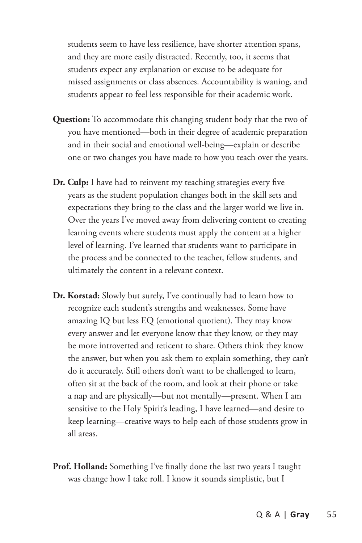students seem to have less resilience, have shorter attention spans, and they are more easily distracted. Recently, too, it seems that students expect any explanation or excuse to be adequate for missed assignments or class absences. Accountability is waning, and students appear to feel less responsible for their academic work.

- **Question:** To accommodate this changing student body that the two of you have mentioned—both in their degree of academic preparation and in their social and emotional well-being—explain or describe one or two changes you have made to how you teach over the years.
- **Dr. Culp:** I have had to reinvent my teaching strategies every five years as the student population changes both in the skill sets and expectations they bring to the class and the larger world we live in. Over the years I've moved away from delivering content to creating learning events where students must apply the content at a higher level of learning. I've learned that students want to participate in the process and be connected to the teacher, fellow students, and ultimately the content in a relevant context.
- **Dr. Korstad:** Slowly but surely, I've continually had to learn how to recognize each student's strengths and weaknesses. Some have amazing IQ but less EQ (emotional quotient). They may know every answer and let everyone know that they know, or they may be more introverted and reticent to share. Others think they know the answer, but when you ask them to explain something, they can't do it accurately. Still others don't want to be challenged to learn, often sit at the back of the room, and look at their phone or take a nap and are physically—but not mentally—present. When I am sensitive to the Holy Spirit's leading, I have learned—and desire to keep learning—creative ways to help each of those students grow in all areas.
- **Prof. Holland:** Something I've finally done the last two years I taught was change how I take roll. I know it sounds simplistic, but I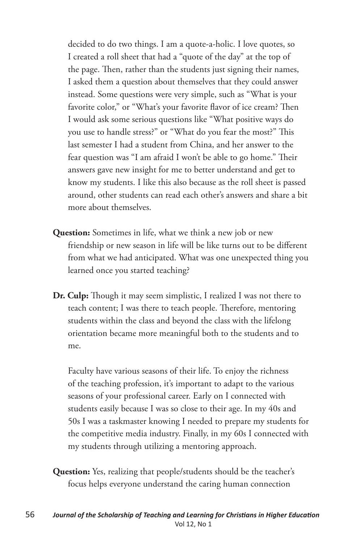decided to do two things. I am a quote-a-holic. I love quotes, so I created a roll sheet that had a "quote of the day" at the top of the page. Then, rather than the students just signing their names, I asked them a question about themselves that they could answer instead. Some questions were very simple, such as "What is your favorite color," or "What's your favorite flavor of ice cream? Then I would ask some serious questions like "What positive ways do you use to handle stress?" or "What do you fear the most?" This last semester I had a student from China, and her answer to the fear question was "I am afraid I won't be able to go home." Their answers gave new insight for me to better understand and get to know my students. I like this also because as the roll sheet is passed around, other students can read each other's answers and share a bit more about themselves.

- **Question:** Sometimes in life, what we think a new job or new friendship or new season in life will be like turns out to be different from what we had anticipated. What was one unexpected thing you learned once you started teaching?
- **Dr. Culp:** Though it may seem simplistic, I realized I was not there to teach content; I was there to teach people. Therefore, mentoring students within the class and beyond the class with the lifelong orientation became more meaningful both to the students and to me.

Faculty have various seasons of their life. To enjoy the richness of the teaching profession, it's important to adapt to the various seasons of your professional career. Early on I connected with students easily because I was so close to their age. In my 40s and 50s I was a taskmaster knowing I needed to prepare my students for the competitive media industry. Finally, in my 60s I connected with my students through utilizing a mentoring approach.

**Question:** Yes, realizing that people/students should be the teacher's focus helps everyone understand the caring human connection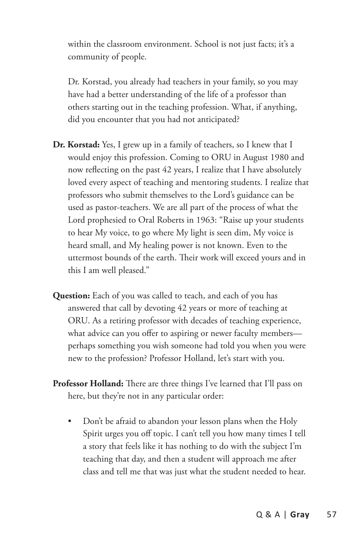within the classroom environment. School is not just facts; it's a community of people.

Dr. Korstad, you already had teachers in your family, so you may have had a better understanding of the life of a professor than others starting out in the teaching profession. What, if anything, did you encounter that you had not anticipated?

- **Dr. Korstad:** Yes, I grew up in a family of teachers, so I knew that I would enjoy this profession. Coming to ORU in August 1980 and now reflecting on the past 42 years, I realize that I have absolutely loved every aspect of teaching and mentoring students. I realize that professors who submit themselves to the Lord's guidance can be used as pastor-teachers. We are all part of the process of what the Lord prophesied to Oral Roberts in 1963: "Raise up your students to hear My voice, to go where My light is seen dim, My voice is heard small, and My healing power is not known. Even to the uttermost bounds of the earth. Their work will exceed yours and in this I am well pleased."
- **Question:** Each of you was called to teach, and each of you has answered that call by devoting 42 years or more of teaching at ORU. As a retiring professor with decades of teaching experience, what advice can you offer to aspiring or newer faculty members perhaps something you wish someone had told you when you were new to the profession? Professor Holland, let's start with you.
- **Professor Holland:** There are three things I've learned that I'll pass on here, but they're not in any particular order:
	- Don't be afraid to abandon your lesson plans when the Holy Spirit urges you off topic. I can't tell you how many times I tell a story that feels like it has nothing to do with the subject I'm teaching that day, and then a student will approach me after class and tell me that was just what the student needed to hear.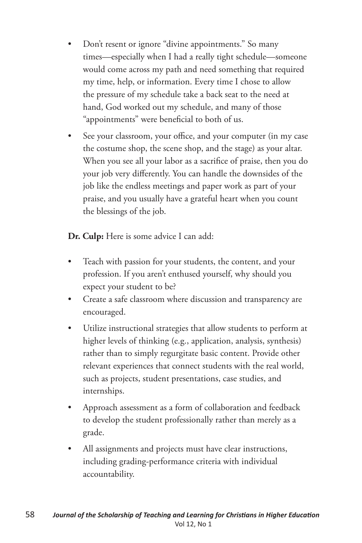- Don't resent or ignore "divine appointments." So many times—especially when I had a really tight schedule—someone would come across my path and need something that required my time, help, or information. Every time I chose to allow the pressure of my schedule take a back seat to the need at hand, God worked out my schedule, and many of those "appointments" were beneficial to both of us.
- See your classroom, your office, and your computer (in my case the costume shop, the scene shop, and the stage) as your altar. When you see all your labor as a sacrifice of praise, then you do your job very differently. You can handle the downsides of the job like the endless meetings and paper work as part of your praise, and you usually have a grateful heart when you count the blessings of the job.

**Dr. Culp:** Here is some advice I can add:

- Teach with passion for your students, the content, and your profession. If you aren't enthused yourself, why should you expect your student to be?
- Create a safe classroom where discussion and transparency are encouraged.
- Utilize instructional strategies that allow students to perform at higher levels of thinking (e.g., application, analysis, synthesis) rather than to simply regurgitate basic content. Provide other relevant experiences that connect students with the real world, such as projects, student presentations, case studies, and internships.
- Approach assessment as a form of collaboration and feedback to develop the student professionally rather than merely as a grade.
- All assignments and projects must have clear instructions, including grading-performance criteria with individual accountability.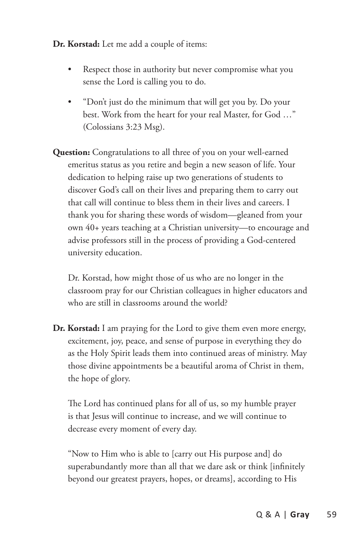**Dr. Korstad:** Let me add a couple of items:

- Respect those in authority but never compromise what you sense the Lord is calling you to do.
- "Don't just do the minimum that will get you by. Do your best. Work from the heart for your real Master, for God …" (Colossians 3:23 Msg).
- **Question:** Congratulations to all three of you on your well-earned emeritus status as you retire and begin a new season of life. Your dedication to helping raise up two generations of students to discover God's call on their lives and preparing them to carry out that call will continue to bless them in their lives and careers. I thank you for sharing these words of wisdom—gleaned from your own 40+ years teaching at a Christian university—to encourage and advise professors still in the process of providing a God-centered university education.

Dr. Korstad, how might those of us who are no longer in the classroom pray for our Christian colleagues in higher educators and who are still in classrooms around the world?

**Dr. Korstad:** I am praying for the Lord to give them even more energy, excitement, joy, peace, and sense of purpose in everything they do as the Holy Spirit leads them into continued areas of ministry. May those divine appointments be a beautiful aroma of Christ in them, the hope of glory.

The Lord has continued plans for all of us, so my humble prayer is that Jesus will continue to increase, and we will continue to decrease every moment of every day.

"Now to Him who is able to [carry out His purpose and] do superabundantly more than all that we dare ask or think [infinitely beyond our greatest prayers, hopes, or dreams], according to His